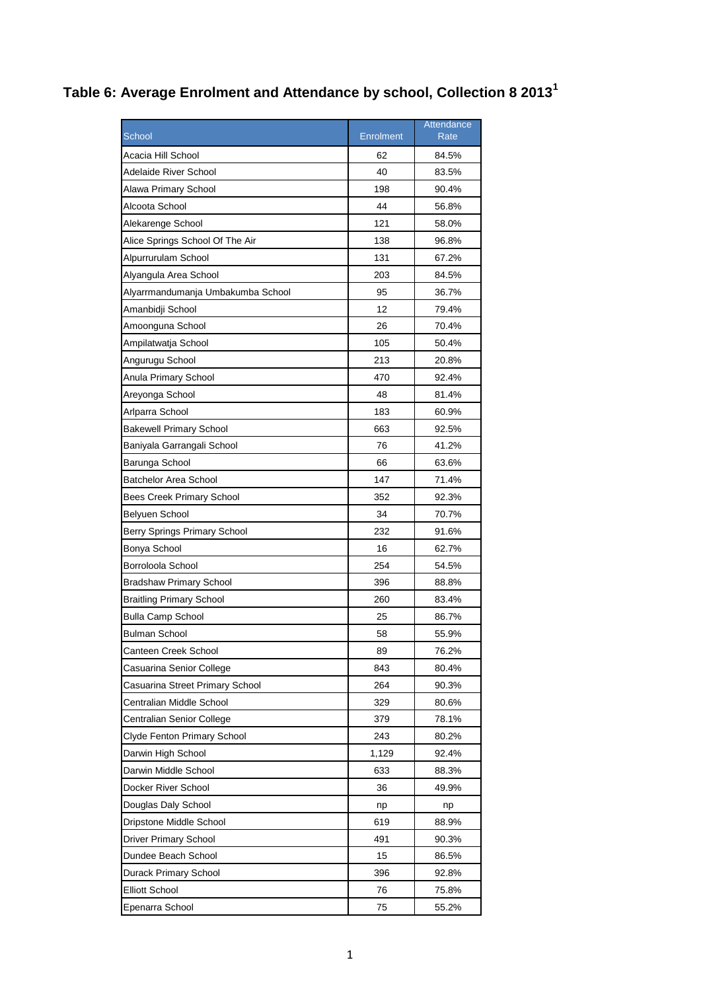## **Table 6: Average Enrolment and Attendance by school, Collection 8 2013<sup>1</sup>**

|                                   |                  | Attendance |
|-----------------------------------|------------------|------------|
| <b>School</b>                     | <b>Enrolment</b> | Rate       |
| Acacia Hill School                | 62               | 84.5%      |
| Adelaide River School             | 40               | 83.5%      |
| Alawa Primary School              | 198              | 90.4%      |
| Alcoota School                    | 44               | 56.8%      |
| Alekarenge School                 | 121              | 58.0%      |
| Alice Springs School Of The Air   | 138              | 96.8%      |
| Alpurrurulam School               | 131              | 67.2%      |
| Alyangula Area School             | 203              | 84.5%      |
| Alyarrmandumanja Umbakumba School | 95               | 36.7%      |
| Amanbidji School                  | 12               | 79.4%      |
| Amoonguna School                  | 26               | 70.4%      |
| Ampilatwatja School               | 105              | 50.4%      |
| Angurugu School                   | 213              | 20.8%      |
| Anula Primary School              | 470              | 92.4%      |
| Areyonga School                   | 48               | 81.4%      |
| Arlparra School                   | 183              | 60.9%      |
| <b>Bakewell Primary School</b>    | 663              | 92.5%      |
| Baniyala Garrangali School        | 76               | 41.2%      |
| Barunga School                    | 66               | 63.6%      |
| Batchelor Area School             | 147              | 71.4%      |
| <b>Bees Creek Primary School</b>  | 352              | 92.3%      |
| <b>Belyuen School</b>             | 34               | 70.7%      |
| Berry Springs Primary School      | 232              | 91.6%      |
| Bonya School                      | 16               | 62.7%      |
| Borroloola School                 | 254              | 54.5%      |
| <b>Bradshaw Primary School</b>    | 396              | 88.8%      |
| Braitling Primary School          | 260              | 83.4%      |
| <b>Bulla Camp School</b>          | 25               | 86.7%      |
| Bulman School                     | 58               | 55.9%      |
| Canteen Creek School              | 89               | 76.2%      |
| Casuarina Senior College          | 843              | 80.4%      |
| Casuarina Street Primary School   | 264              | 90.3%      |
| Centralian Middle School          | 329              | 80.6%      |
| Centralian Senior College         | 379              | 78.1%      |
| Clyde Fenton Primary School       | 243              | 80.2%      |
| Darwin High School                | 1,129            | 92.4%      |
| Darwin Middle School              | 633              | 88.3%      |
| Docker River School               | 36               | 49.9%      |
| Douglas Daly School               | np               | np         |
| Dripstone Middle School           | 619              | 88.9%      |
| Driver Primary School             | 491              | 90.3%      |
| Dundee Beach School               | 15               | 86.5%      |
| Durack Primary School             | 396              | 92.8%      |
| <b>Elliott School</b>             | 76               | 75.8%      |
| Epenarra School                   | 75               | 55.2%      |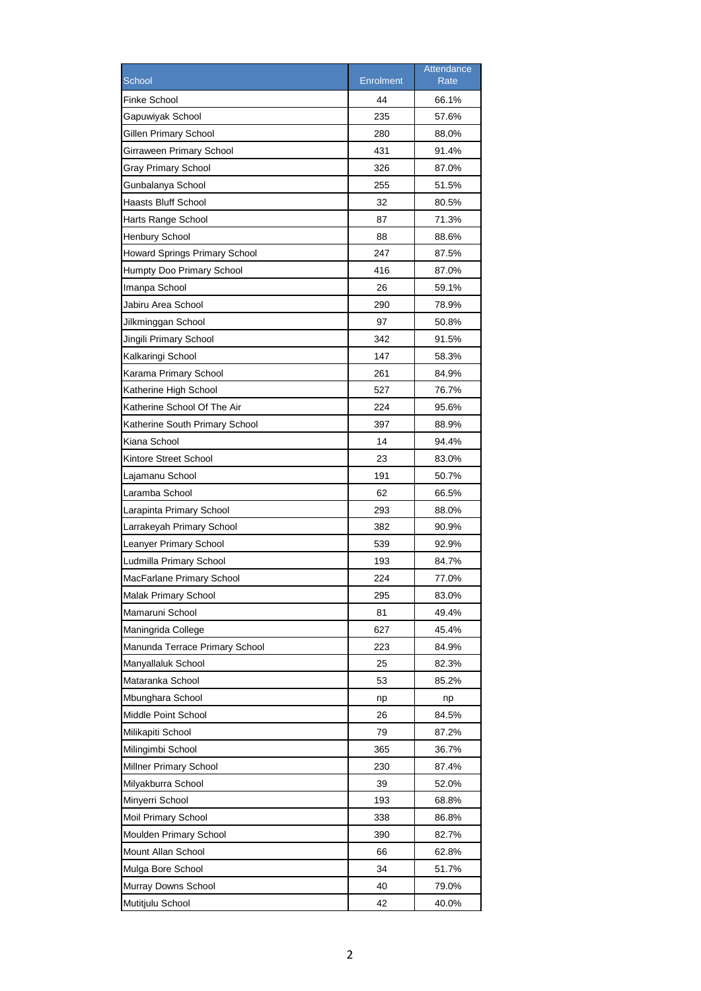|                                      |                  | Attendance  |
|--------------------------------------|------------------|-------------|
| School                               | <b>Enrolment</b> | <b>Rate</b> |
| <b>Finke School</b>                  | 44               | 66.1%       |
| Gapuwiyak School                     | 235              | 57.6%       |
| Gillen Primary School                | 280              | 88.0%       |
| Girraween Primary School             | 431              | 91.4%       |
| Gray Primary School                  | 326              | 87.0%       |
| Gunbalanya School                    | 255              | 51.5%       |
| Haasts Bluff School                  | 32               | 80.5%       |
| Harts Range School                   | 87               | 71.3%       |
| <b>Henbury School</b>                | 88               | 88.6%       |
| <b>Howard Springs Primary School</b> | 247              | 87.5%       |
| Humpty Doo Primary School            | 416              | 87.0%       |
| Imanpa School                        | 26               | 59.1%       |
| Jabiru Area School                   | 290              | 78.9%       |
| Jilkminggan School                   | 97               | 50.8%       |
| Jingili Primary School               | 342              | 91.5%       |
| Kalkaringi School                    | 147              | 58.3%       |
| Karama Primary School                | 261              | 84.9%       |
| Katherine High School                | 527              | 76.7%       |
| Katherine School Of The Air          | 224              | 95.6%       |
| Katherine South Primary School       | 397              | 88.9%       |
| Kiana School                         | 14               | 94.4%       |
| Kintore Street School                | 23               | 83.0%       |
| Lajamanu School                      | 191              | 50.7%       |
| Laramba School                       | 62               | 66.5%       |
| Larapinta Primary School             | 293              | 88.0%       |
| Larrakeyah Primary School            | 382              | 90.9%       |
| Leanyer Primary School               | 539              | 92.9%       |
| Ludmilla Primary School              | 193              | 84.7%       |
| MacFarlane Primary School            | 224              | 77.0%       |
| Malak Primary School                 | 295              | 83.0%       |
| Mamaruni School                      | 81               | 49.4%       |
| Maningrida College                   | 627              | 45.4%       |
| Manunda Terrace Primary School       | 223              | 84.9%       |
| Manyallaluk School                   | 25               | 82.3%       |
| Mataranka School                     | 53               | 85.2%       |
| Mbunghara School                     | np               | np          |
| Middle Point School                  | 26               | 84.5%       |
| Milikapiti School                    | 79               | 87.2%       |
| Milingimbi School                    | 365              | 36.7%       |
| Millner Primary School               | 230              | 87.4%       |
| Milyakburra School                   | 39               | 52.0%       |
| Minyerri School                      | 193              | 68.8%       |
| Moil Primary School                  | 338              | 86.8%       |
| Moulden Primary School               | 390              | 82.7%       |
| Mount Allan School                   | 66               | 62.8%       |
| Mulga Bore School                    | 34               | 51.7%       |
| Murray Downs School                  | 40               | 79.0%       |
| Mutitjulu School                     | 42               | 40.0%       |
|                                      |                  |             |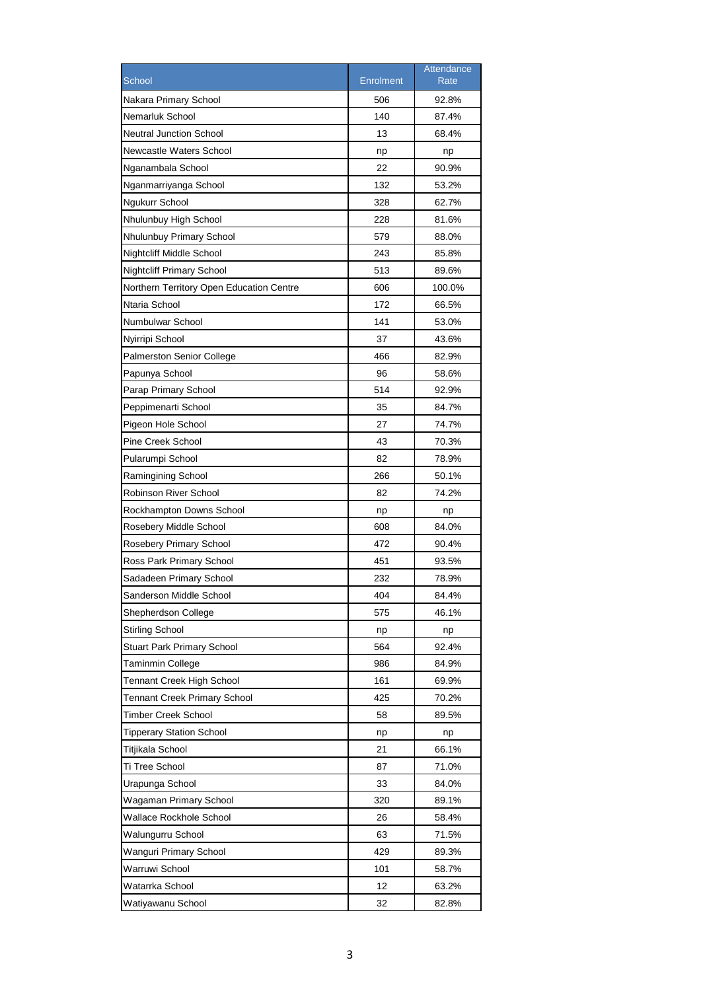|                                          |                  | Attendance |
|------------------------------------------|------------------|------------|
| School                                   | <b>Enrolment</b> | Rate       |
| Nakara Primary School                    | 506              | 92.8%      |
| Nemarluk School                          | 140              | 87.4%      |
| <b>Neutral Junction School</b>           | 13               | 68.4%      |
| Newcastle Waters School                  | np               | np         |
| Nganambala School                        | 22               | 90.9%      |
| Nganmarriyanga School                    | 132              | 53.2%      |
| Ngukurr School                           | 328              | 62.7%      |
| Nhulunbuy High School                    | 228              | 81.6%      |
| Nhulunbuy Primary School                 | 579              | 88.0%      |
| Nightcliff Middle School                 | 243              | 85.8%      |
| <b>Nightcliff Primary School</b>         | 513              | 89.6%      |
| Northern Territory Open Education Centre | 606              | 100.0%     |
| Ntaria School                            | 172              | 66.5%      |
| Numbulwar School                         | 141              | 53.0%      |
| Nyirripi School                          | 37               | 43.6%      |
| <b>Palmerston Senior College</b>         | 466              | 82.9%      |
| Papunya School                           | 96               | 58.6%      |
| Parap Primary School                     | 514              | 92.9%      |
| Peppimenarti School                      | 35               | 84.7%      |
| Pigeon Hole School                       | 27               | 74.7%      |
| Pine Creek School                        | 43               | 70.3%      |
| Pularumpi School                         | 82               | 78.9%      |
| Ramingining School                       | 266              | 50.1%      |
| Robinson River School                    | 82               | 74.2%      |
| Rockhampton Downs School                 | np               | np         |
| Rosebery Middle School                   | 608              | 84.0%      |
| Rosebery Primary School                  | 472              | 90.4%      |
| Ross Park Primary School                 | 451              | 93.5%      |
| Sadadeen Primary School                  | 232              | 78.9%      |
| Sanderson Middle School                  | 404              | 84.4%      |
| Shepherdson College                      | 575              | 46.1%      |
| <b>Stirling School</b>                   | np               | np         |
| <b>Stuart Park Primary School</b>        | 564              | 92.4%      |
| Taminmin College                         | 986              | 84.9%      |
| Tennant Creek High School                | 161              | 69.9%      |
| <b>Tennant Creek Primary School</b>      | 425              | 70.2%      |
| Timber Creek School                      | 58               | 89.5%      |
| <b>Tipperary Station School</b>          | np               | np         |
| Titjikala School                         | 21               | 66.1%      |
| Ti Tree School                           | 87               | 71.0%      |
| Urapunga School                          | 33               | 84.0%      |
| Wagaman Primary School                   | 320              | 89.1%      |
| Wallace Rockhole School                  | 26               | 58.4%      |
| Walungurru School                        | 63               | 71.5%      |
| Wanguri Primary School                   | 429              | 89.3%      |
| Warruwi School                           | 101              | 58.7%      |
| Watarrka School                          | 12               | 63.2%      |
| Watiyawanu School                        | 32               | 82.8%      |